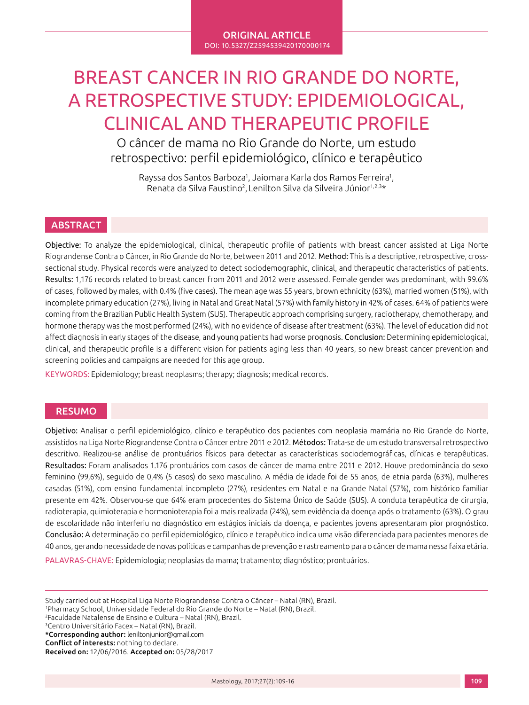#### ORIGINAL ARTICLE DOI: 10.5327/Z2594539420170000174

# BREAST CANCER IN RIO GRANDE DO NORTE, A RETROSPECTIVE STUDY: EPIDEMIOLOGICAL, CLINICAL AND THERAPEUTIC PROFILE

O câncer de mama no Rio Grande do Norte, um estudo retrospectivo: perfil epidemiológico, clínico e terapêutico

Rayssa dos Santos Barboza<sup>1</sup>, Jaiomara Karla dos Ramos Ferreira<sup>1</sup>, Renata da Silva Faustino<sup>2</sup>, Lenilton Silva da Silveira Júnior<sup>1,2,3\*</sup>

# **ABSTRACT**

Objective: To analyze the epidemiological, clinical, therapeutic profile of patients with breast cancer assisted at Liga Norte Riograndense Contra o Câncer, in Rio Grande do Norte, between 2011 and 2012. Method: This is a descriptive, retrospective, crosssectional study. Physical records were analyzed to detect sociodemographic, clinical, and therapeutic characteristics of patients. Results: 1,176 records related to breast cancer from 2011 and 2012 were assessed. Female gender was predominant, with 99.6% of cases, followed by males, with 0.4% (five cases). The mean age was 55 years, brown ethnicity (63%), married women (51%), with incomplete primary education (27%), living in Natal and Great Natal (57%) with family history in 42% of cases. 64% of patients were coming from the Brazilian Public Health System (SUS). Therapeutic approach comprising surgery, radiotherapy, chemotherapy, and hormone therapy was the most performed (24%), with no evidence of disease after treatment (63%). The level of education did not affect diagnosis in early stages of the disease, and young patients had worse prognosis. Conclusion: Determining epidemiological, clinical, and therapeutic profile is a different vision for patients aging less than 40 years, so new breast cancer prevention and screening policies and campaigns are needed for this age group.

KEYWORDS: Epidemiology; breast neoplasms; therapy; diagnosis; medical records.

### RESUMO

Objetivo: Analisar o perfil epidemiológico, clínico e terapêutico dos pacientes com neoplasia mamária no Rio Grande do Norte, assistidos na Liga Norte Riograndense Contra o Câncer entre 2011 e 2012. Métodos: Trata-se de um estudo transversal retrospectivo descritivo. Realizou-se análise de prontuários físicos para detectar as características sociodemográficas, clínicas e terapêuticas. Resultados: Foram analisados 1.176 prontuários com casos de câncer de mama entre 2011 e 2012. Houve predominância do sexo feminino (99,6%), seguido de 0,4% (5 casos) do sexo masculino. A média de idade foi de 55 anos, de etnia parda (63%), mulheres casadas (51%), com ensino fundamental incompleto (27%), residentes em Natal e na Grande Natal (57%), com histórico familiar presente em 42%. Observou-se que 64% eram procedentes do Sistema Único de Saúde (SUS). A conduta terapêutica de cirurgia, radioterapia, quimioterapia e hormonioterapia foi a mais realizada (24%), sem evidência da doença após o tratamento (63%). O grau de escolaridade não interferiu no diagnóstico em estágios iniciais da doença, e pacientes jovens apresentaram pior prognóstico. Conclusão: A determinação do perfil epidemiológico, clínico e terapêutico indica uma visão diferenciada para pacientes menores de 40 anos, gerando necessidade de novas políticas e campanhas de prevenção e rastreamento para o câncer de mama nessa faixa etária. PALAVRAS-CHAVE: Epidemiologia; neoplasias da mama; tratamento; diagnóstico; prontuários.

Study carried out at Hospital Liga Norte Riograndense Contra o Câncer – Natal (RN), Brazil.

1 Pharmacy School, Universidade Federal do Rio Grande do Norte – Natal (RN), Brazil.

<sup>3</sup>Centro Universitário Facex – Natal (RN), Brazil.

\*Corresponding author: leniltonjunior@gmail.com

Conflict of interests: nothing to declare.

Received on: 12/06/2016. Accepted on: 05/28/2017

<sup>2</sup>Faculdade Natalense de Ensino e Cultura – Natal (RN), Brazil.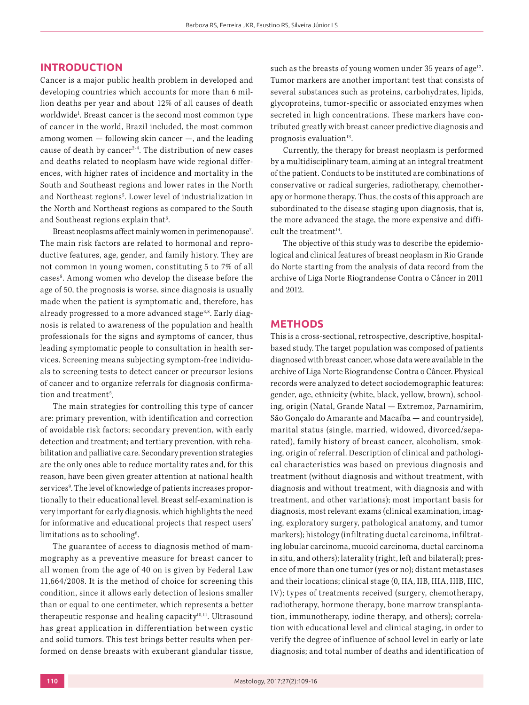### **INTRODUCTION**

Cancer is a major public health problem in developed and developing countries which accounts for more than 6 million deaths per year and about 12% of all causes of death worldwide<sup>1</sup>. Breast cancer is the second most common type of cancer in the world, Brazil included, the most common among women — following skin cancer —, and the leading cause of death by cancer<sup>2-4</sup>. The distribution of new cases and deaths related to neoplasm have wide regional differences, with higher rates of incidence and mortality in the South and Southeast regions and lower rates in the North and Northeast regions5 . Lower level of industrialization in the North and Northeast regions as compared to the South and Southeast regions explain that<sup>6</sup>. .

Breast neoplasms affect mainly women in perimenopause<sup>7</sup>. The main risk factors are related to hormonal and reproductive features, age, gender, and family history. They are not common in young women, constituting 5 to 7% of all cases<sup>8</sup>. Among women who develop the disease before the age of 50, the prognosis is worse, since diagnosis is usually made when the patient is symptomatic and, therefore, has already progressed to a more advanced stage<sup>3,8</sup>. Early diagnosis is related to awareness of the population and health professionals for the signs and symptoms of cancer, thus leading symptomatic people to consultation in health services. Screening means subjecting symptom-free individuals to screening tests to detect cancer or precursor lesions of cancer and to organize referrals for diagnosis confirmation and treatment<sup>5</sup>. .

The main strategies for controlling this type of cancer are: primary prevention, with identification and correction of avoidable risk factors; secondary prevention, with early detection and treatment; and tertiary prevention, with rehabilitation and palliative care. Secondary prevention strategies are the only ones able to reduce mortality rates and, for this reason, have been given greater attention at national health services<sup>9</sup>. The level of knowledge of patients increases proportionally to their educational level. Breast self-examination is very important for early diagnosis, which highlights the need for informative and educational projects that respect users' limitations as to schooling $6$ . .

The guarantee of access to diagnosis method of mammography as a preventive measure for breast cancer to all women from the age of 40 on is given by Federal Law 11,664/2008. It is the method of choice for screening this condition, since it allows early detection of lesions smaller than or equal to one centimeter, which represents a better therapeutic response and healing capacity<sup>10,11</sup>. Ultrasound has great application in differentiation between cystic and solid tumors. This test brings better results when performed on dense breasts with exuberant glandular tissue, such as the breasts of young women under 35 years of age<sup>12</sup>. Tumor markers are another important test that consists of several substances such as proteins, carbohydrates, lipids, glycoproteins, tumor-specific or associated enzymes when secreted in high concentrations. These markers have contributed greatly with breast cancer predictive diagnosis and prognosis evaluation $13$ .

Currently, the therapy for breast neoplasm is performed by a multidisciplinary team, aiming at an integral treatment of the patient. Conducts to be instituted are combinations of conservative or radical surgeries, radiotherapy, chemotherapy or hormone therapy. Thus, the costs of this approach are subordinated to the disease staging upon diagnosis, that is, the more advanced the stage, the more expensive and difficult the treatment $14$ .

The objective of this study was to describe the epidemiological and clinical features of breast neoplasm in Rio Grande do Norte starting from the analysis of data record from the archive of Liga Norte Riograndense Contra o Câncer in 2011 and 2012.

## **METHODS**

This is a cross-sectional, retrospective, descriptive, hospitalbased study. The target population was composed of patients diagnosed with breast cancer, whose data were available in the archive of Liga Norte Riograndense Contra o Câncer. Physical records were analyzed to detect sociodemographic features: gender, age, ethnicity (white, black, yellow, brown), schooling, origin (Natal, Grande Natal — Extremoz, Parnamirim, São Gonçalo do Amarante and Macaíba — and countryside), marital status (single, married, widowed, divorced/separated), family history of breast cancer, alcoholism, smoking, origin of referral. Description of clinical and pathological characteristics was based on previous diagnosis and treatment (without diagnosis and without treatment, with diagnosis and without treatment, with diagnosis and with treatment, and other variations); most important basis for diagnosis, most relevant exams (clinical examination, imaging, exploratory surgery, pathological anatomy, and tumor markers); histology (infiltrating ductal carcinoma, infiltrating lobular carcinoma, mucoid carcinoma, ductal carcinoma in situ, and others); laterality (right, left and bilateral); presence of more than one tumor (yes or no); distant metastases and their locations; clinical stage (0, IIA, IIB, IIIA, IIIB, IIIC, IV); types of treatments received (surgery, chemotherapy, radiotherapy, hormone therapy, bone marrow transplantation, immunotherapy, iodine therapy, and others); correlation with educational level and clinical staging, in order to verify the degree of influence of school level in early or late diagnosis; and total number of deaths and identification of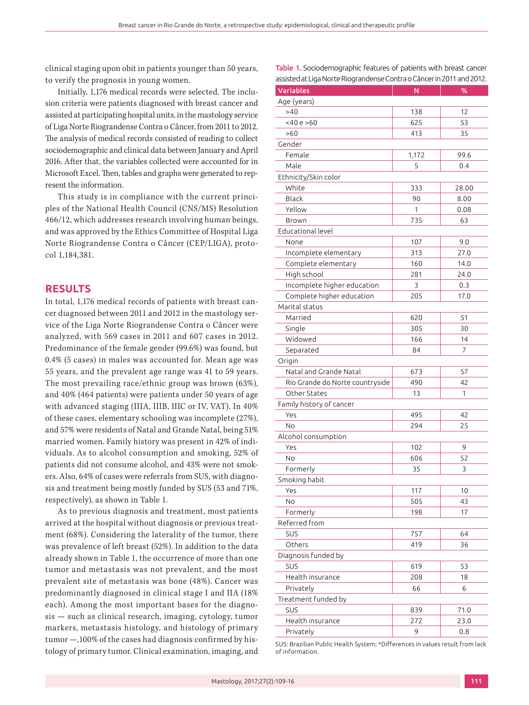clinical staging upon obit in patients younger than 50 years, to verify the prognosis in young women.

Initially, 1,176 medical records were selected. The inclusion criteria were patients diagnosed with breast cancer and assisted at participating hospital units, in the mastology service of Liga Norte Riograndense Contra o Câncer, from 2011 to 2012. The analysis of medical records consisted of reading to collect sociodemographic and clinical data between January and April 2016. After that, the variables collected were accounted for in Microsoft Excel. Then, tables and graphs were generated to represent the information.

This study is in compliance with the current principles of the National Health Council (CNS/MS) Resolution 466/12, which addresses research involving human beings, and was approved by the Ethics Committee of Hospital Liga Norte Riograndense Contra o Câncer (CEP/LIGA), protocol 1,184,381.

# **RESULTS**

In total, 1,176 medical records of patients with breast cancer diagnosed between 2011 and 2012 in the mastology service of the Liga Norte Riograndense Contra o Câncer were analyzed, with 569 cases in 2011 and 607 cases in 2012. Predominance of the female gender (99.6%) was found, but 0.4% (5 cases) in males was accounted for. Mean age was 55 years, and the prevalent age range was 41 to 59 years. The most prevailing race/ethnic group was brown (63%), and 40% (464 patients) were patients under 50 years of age with advanced staging (IIIA, IIIB, IIIC or IV, VAT). In 40% of these cases, elementary schooling was incomplete (27%), and 57% were residents of Natal and Grande Natal, being 51% married women. Family history was present in 42% of individuals. As to alcohol consumption and smoking, 52% of patients did not consume alcohol, and 43% were not smokers. Also, 64% of cases were referrals from SUS, with diagnosis and treatment being mostly funded by SUS (53 and 71%, respectively), as shown in Table 1.

As to previous diagnosis and treatment, most patients arrived at the hospital without diagnosis or previous treatment (68%). Considering the laterality of the tumor, there was prevalence of left breast (52%). In addition to the data already shown in Table 1, the occurrence of more than one tumor and metastasis was not prevalent, and the most prevalent site of metastasis was bone (48%). Cancer was predominantly diagnosed in clinical stage I and IIA (18% each). Among the most important bases for the diagnosis — such as clinical research, imaging, cytology, tumor markers, metastasis histology, and histology of primary tumor —,100% of the cases had diagnosis confirmed by histology of primary tumor. Clinical examination, imaging, and

| <b>Table 1.</b> Sociodemographic features of patients with breast cancer |  |  |
|--------------------------------------------------------------------------|--|--|
| assisted at Liga Norte Riograndense Contra o Câncer in 2011 and 2012.    |  |  |

| Variables                                       | N     | %       |
|-------------------------------------------------|-------|---------|
| Age (years)                                     |       |         |
| >40                                             | 138   | 12      |
| $<$ 40 e >60                                    | 625   | 53      |
| >60                                             | 413   | 35      |
| Gender                                          |       |         |
| Female                                          | 1,172 | 99.6    |
| Male                                            | 5     | 0.4     |
| Ethnicity/Skin color                            |       |         |
| White                                           | 333   | 28.00   |
| Black                                           | 90    | 8.00    |
| Yellow                                          | 1     | 0.08    |
| Brown                                           | 735   | 63      |
| Educational level                               |       |         |
| None                                            | 107   | 9.0     |
| Incomplete elementary                           | 313   | 27.0    |
| Complete elementary                             | 160   | 14.0    |
| High school                                     | 281   | 24.0    |
| Incomplete higher education                     | 3     | 0.3     |
| Complete higher education                       | 205   | 17.0    |
| Marital status                                  |       |         |
| Married                                         | 620   | 51      |
| Single                                          | 305   | 30      |
| Widowed                                         | 166   | 14      |
|                                                 |       | 7       |
| Separated                                       | 84    |         |
| Origin<br>Natal and Grande Natal                |       |         |
|                                                 | 673   | 57      |
| Rio Grande do Norte countryside<br>Other States | 490   | 42<br>1 |
|                                                 | 13    |         |
| Family history of cancer                        |       |         |
| Yes                                             | 495   | 42      |
| No                                              | 294   | 25      |
| Alcohol consumption                             |       |         |
| Yes                                             | 102   | 9       |
| No                                              | 606   | 52      |
| Formerly                                        | 35    | 3       |
| Smoking habit                                   |       |         |
| Yes                                             | 117   | 10      |
| No                                              | 505   | 43      |
| Formerly                                        | 198   | 17      |
| Referred from                                   |       |         |
| SUS                                             | 757   | 64      |
| Others                                          | 419   | 36      |
| Diagnosis funded by                             |       |         |
| SUS                                             | 619   | 53      |
| Health insurance                                | 208   | 18      |
| Privately                                       | 66    | 6       |
| Treatment funded by                             |       |         |
| SUS                                             | 839   | 71.0    |
| Health insurance                                | 272   | 23.0    |
| Privately                                       | 9     | 0.8     |

SUS: Brazilian Public Health System; \*Differences in values result from lack of information.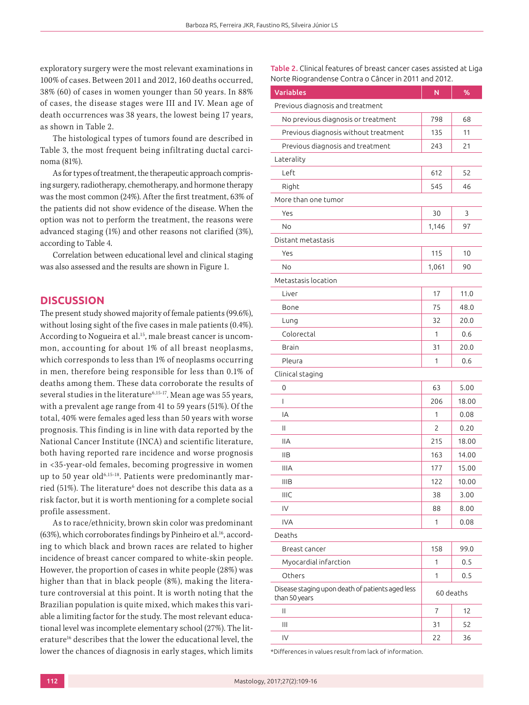exploratory surgery were the most relevant examinations in 100% of cases. Between 2011 and 2012, 160 deaths occurred, 38% (60) of cases in women younger than 50 years. In 88% of cases, the disease stages were III and IV. Mean age of death occurrences was 38 years, the lowest being 17 years, as shown in Table 2.

The histological types of tumors found are described in Table 3, the most frequent being infiltrating ductal carcinoma (81%).

As for types of treatment, the therapeutic approach comprising surgery, radiotherapy, chemotherapy, and hormone therapy was the most common (24%). After the first treatment, 63% of the patients did not show evidence of the disease. When the option was not to perform the treatment, the reasons were advanced staging (1%) and other reasons not clarified (3%), according to Table 4.

Correlation between educational level and clinical staging was also assessed and the results are shown in Figure 1.

## **DISCUSSION**

The present study showed majority of female patients (99.6%), without losing sight of the five cases in male patients (0.4%). According to Nogueira et al.<sup>15</sup>, male breast cancer is uncommon, accounting for about 1% of all breast neoplasms, which corresponds to less than 1% of neoplasms occurring in men, therefore being responsible for less than 0.1% of deaths among them. These data corroborate the results of several studies in the literature<sup>6,15-17</sup>. Mean age was 55 years, with a prevalent age range from 41 to 59 years (51%). Of the total, 40% were females aged less than 50 years with worse prognosis. This finding is in line with data reported by the National Cancer Institute (INCA) and scientific literature, both having reported rare incidence and worse prognosis in <35-year-old females, becoming progressive in women up to 50 year old<sup>6,15-18</sup>. Patients were predominantly married (51%). The literature<sup>6</sup> does not describe this data as a risk factor, but it is worth mentioning for a complete social profile assessment.

As to race/ethnicity, brown skin color was predominant (63%), which corroborates findings by Pinheiro et al.<sup>16</sup>, according to which black and brown races are related to higher incidence of breast cancer compared to white-skin people. However, the proportion of cases in white people (28%) was higher than that in black people (8%), making the literature controversial at this point. It is worth noting that the Brazilian population is quite mixed, which makes this variable a limiting factor for the study. The most relevant educational level was incomplete elementary school (27%). The literature<sup>16</sup> describes that the lower the educational level, the lower the chances of diagnosis in early stages, which limits Table 2. Clinical features of breast cancer cases assisted at Liga Norte Riograndense Contra o Câncer in 2011 and 2012.

| <b>Variables</b>                                                  | N              | %     |
|-------------------------------------------------------------------|----------------|-------|
| Previous diagnosis and treatment                                  |                |       |
| No previous diagnosis or treatment                                | 798            | 68    |
| Previous diagnosis without treatment                              | 135            | 11    |
| Previous diagnosis and treatment                                  | 243            | 21    |
| Laterality                                                        |                |       |
| Left                                                              | 612            | 52    |
| Right                                                             | 545            | 46    |
| More than one tumor                                               |                |       |
| Yes                                                               | 30             | 3     |
| No                                                                | 1,146          | 97    |
| Distant metastasis                                                |                |       |
| Yes                                                               | 115            | 10    |
| No                                                                | 1,061          | 90    |
| Metastasis location                                               |                |       |
| Liver                                                             | 17             | 11.0  |
| Bone                                                              | 75             | 48.0  |
| Lung                                                              | 32             | 20.0  |
| Colorectal                                                        | 1              | 0.6   |
| Brain                                                             | 31             | 20.0  |
| Pleura                                                            | 1              | 0.6   |
| Clinical staging                                                  |                |       |
| 0                                                                 | 63             | 5.00  |
| L                                                                 | 206            | 18.00 |
| IA                                                                | 1              | 0.08  |
| Ш                                                                 | $\overline{c}$ | 0.20  |
| <b>IIA</b>                                                        | 215            | 18.00 |
| <b>IIB</b>                                                        | 163            | 14.00 |
| <b>IIIA</b>                                                       | 177            | 15.00 |
| <b>IIIB</b>                                                       | 122            | 10.00 |
| IIIC                                                              | 38             | 3.00  |
| IV                                                                | 88             | 8.00  |
| <b>IVA</b>                                                        | 1              | 0.08  |
| Deaths                                                            |                |       |
| Breast cancer                                                     | 158            | 99.0  |
| Myocardial infarction                                             | 1              | 0.5   |
| Others                                                            | 1              | 0.5   |
| Disease staging upon death of patients aged less<br>than 50 years | 60 deaths      |       |
| Ш                                                                 | 7              | 12    |
| Ш                                                                 | 31             | 52    |
| IV                                                                | 22             | 36    |

\*Differences in values result from lack of information.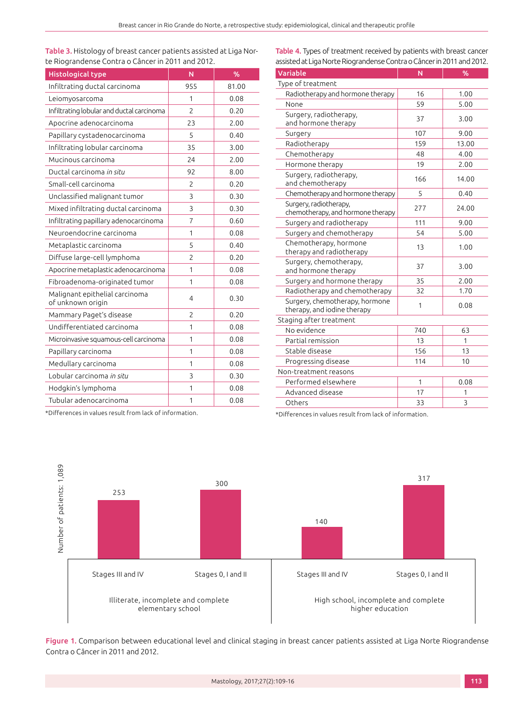Table 3. Histology of breast cancer patients assisted at Liga Norte Riograndense Contra o Câncer in 2011 and 2012.

| <b>Histological type</b>                            | N              | %     |
|-----------------------------------------------------|----------------|-------|
| Infiltrating ductal carcinoma                       | 955            | 81.00 |
| Leiomyosarcoma                                      | 1              | 0.08  |
| Infiltrating lobular and ductal carcinoma           | $\overline{c}$ | 0.20  |
| Apocrine adenocarcinoma                             | 23             | 2.00  |
| Papillary cystadenocarcinoma                        | 5              | 0.40  |
| Infiltrating lobular carcinoma                      | 35             | 3.00  |
| Mucinous carcinoma                                  | 24             | 2.00  |
| Ductal carcinoma in situ                            | 92             | 8.00  |
| Small-cell carcinoma                                | $\overline{2}$ | 0.20  |
| Unclassified malignant tumor                        | 3              | 0.30  |
| Mixed infiltrating ductal carcinoma                 | 3              | 0.30  |
| Infiltrating papillary adenocarcinoma               | $\overline{7}$ | 0.60  |
| Neuroendocrine carcinoma                            | 1              | 0.08  |
| Metaplastic carcinoma                               | 5              | 0.40  |
| Diffuse large-cell lymphoma                         | $\overline{c}$ | 0.20  |
| Apocrine metaplastic adenocarcinoma                 | 1              | 0.08  |
| Fibroadenoma-originated tumor                       | 1              | 0.08  |
| Malignant epithelial carcinoma<br>of unknown origin | 4              | 0.30  |
| Mammary Paget's disease                             | $\overline{c}$ | 0.20  |
| Undifferentiated carcinoma                          | 1              | 0.08  |
| Microinvasive squamous-cell carcinoma               | 1              | 0.08  |
| Papillary carcinoma                                 | 1              | 0.08  |
| Medullary carcinoma                                 | 1              | 0.08  |
| Lobular carcinoma <i>in situ</i>                    | 3              | 0.30  |
| Hodgkin's lymphoma                                  | 1              | 0.08  |
| Tubular adenocarcinoma                              | 1              | 0.08  |

Table 4. Types of treatment received by patients with breast cancer assisted at Liga Norte Riograndense Contra o Câncer in 2011 and 2012.

| Variable                                                      | N   | %     |
|---------------------------------------------------------------|-----|-------|
| Type of treatment                                             |     |       |
| Radiotherapy and hormone therapy                              | 16  | 1.00  |
| None                                                          | 59  | 5.00  |
| Surgery, radiotherapy,<br>and hormone therapy                 | 37  | 3.00  |
| Surgery                                                       | 107 | 9.00  |
| Radiotherapy                                                  | 159 | 13.00 |
| Chemotherapy                                                  | 48  | 4.00  |
| Hormone therapy                                               | 19  | 2.00  |
| Surgery, radiotherapy,<br>and chemotherapy                    | 166 | 14.00 |
| Chemotherapy and hormone therapy                              | 5   | 0.40  |
| Surgery, radiotherapy,<br>chemotherapy, and hormone therapy   | 277 | 24.00 |
| Surgery and radiotherapy                                      | 111 | 9.00  |
| Surgery and chemotherapy                                      | 54  | 5.00  |
| Chemotherapy, hormone<br>therapy and radiotherapy             | 13  | 1.00  |
| Surgery, chemotherapy,<br>and hormone therapy                 | 37  | 3.00  |
| Surgery and hormone therapy                                   | 35  | 2.00  |
| Radiotherapy and chemotherapy                                 | 32  | 1.70  |
| Surgery, chemotherapy, hormone<br>therapy, and iodine therapy | 1   | 0.08  |
| Staging after treatment                                       |     |       |
| No evidence                                                   | 740 | 63    |
| Partial remission                                             | 13  | 1     |
| Stable disease                                                | 156 | 13    |
| Progressing disease                                           | 114 | 10    |
| Non-treatment reasons                                         |     |       |
| Performed elsewhere                                           | 1   | 0.08  |
| Advanced disease                                              | 17  | 1     |
| Others                                                        | 33  | 3     |

\*Differences in values result from lack of information.

\*Differences in values result from lack of information.



Figure 1. Comparison between educational level and clinical staging in breast cancer patients assisted at Liga Norte Riograndense Contra o Câncer in 2011 and 2012.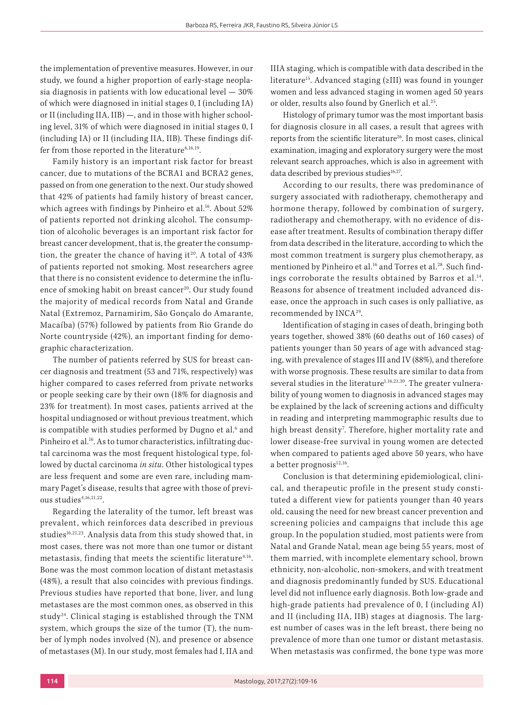the implementation of preventive measures. However, in our study, we found a higher proportion of early-stage neoplasia diagnosis in patients with low educational level — 30% of which were diagnosed in initial stages 0, I (including IA) or II (including IIA, IIB) —, and in those with higher schooling level, 31% of which were diagnosed in initial stages 0, I (including IA) or II (including IIA, IIB). These findings differ from those reported in the literature<sup>6,16,19</sup>.

Family history is an important risk factor for breast cancer, due to mutations of the BCRA1 and BCRA2 genes, passed on from one generation to the next. Our study showed that 42% of patients had family history of breast cancer, which agrees with findings by Pinheiro et al.<sup>16</sup>. About 52% of patients reported not drinking alcohol. The consumption of alcoholic beverages is an important risk factor for breast cancer development, that is, the greater the consumption, the greater the chance of having it<sup>20</sup>. A total of  $43\%$ of patients reported not smoking. Most researchers agree that there is no consistent evidence to determine the influence of smoking habit on breast cancer<sup>20</sup>. Our study found the majority of medical records from Natal and Grande Natal (Extremoz, Parnamirim, São Gonçalo do Amarante, Macaíba) (57%) followed by patients from Rio Grande do Norte countryside (42%), an important finding for demographic characterization.

The number of patients referred by SUS for breast cancer diagnosis and treatment (53 and 71%, respectively) was higher compared to cases referred from private networks or people seeking care by their own (18% for diagnosis and 23% for treatment). In most cases, patients arrived at the hospital undiagnosed or without previous treatment, which is compatible with studies performed by Dugno et al.<sup>6</sup> and Pinheiro et al.<sup>16</sup>. As to tumor characteristics, infiltrating ductal carcinoma was the most frequent histological type, followed by ductal carcinoma *in situ*. Other histological types are less frequent and some are even rare, including mammary Paget's disease, results that agree with those of previous studies $4,16,21,22$ .

Regarding the laterality of the tumor, left breast was prevalent, which reinforces data described in previous studies<sup>16,21,23</sup>. Analysis data from this study showed that, in most cases, there was not more than one tumor or distant metastasis, finding that meets the scientific literature<sup>4,16</sup>. Bone was the most common location of distant metastasis (48%), a result that also coincides with previous findings. Previous studies have reported that bone, liver, and lung metastases are the most common ones, as observed in this study<sup>24</sup>. Clinical staging is established through the TNM system, which groups the size of the tumor (T), the number of lymph nodes involved (N), and presence or absence of metastases (M). In our study, most females had I, IIA and IIIA staging, which is compatible with data described in the literature15. Advanced staging (≥III) was found in younger women and less advanced staging in women aged 50 years or older, results also found by Gnerlich et al.<sup>25</sup>.

Histology of primary tumor was the most important basis for diagnosis closure in all cases, a result that agrees with reports from the scientific literature<sup>26</sup>. In most cases, clinical examination, imaging and exploratory surgery were the most relevant search approaches, which is also in agreement with data described by previous studies $16,27$ .

According to our results, there was predominance of surgery associated with radiotherapy, chemotherapy and hormone therapy, followed by combination of surgery, radiotherapy and chemotherapy, with no evidence of disease after treatment. Results of combination therapy differ from data described in the literature, according to which the most common treatment is surgery plus chemotherapy, as mentioned by Pinheiro et al.<sup>16</sup> and Torres et al.<sup>28</sup>. Such findings corroborate the results obtained by Barros et al.<sup>14</sup>. Reasons for absence of treatment included advanced disease, once the approach in such cases is only palliative, as recommended by INCA<sup>29</sup>.

Identification of staging in cases of death, bringing both years together, showed 38% (60 deaths out of 160 cases) of patients younger than 50 years of age with advanced staging, with prevalence of stages III and IV (88%), and therefore with worse prognosis. These results are similar to data from several studies in the literature<sup>1,16,21,30</sup>. The greater vulnerability of young women to diagnosis in advanced stages may be explained by the lack of screening actions and difficulty in reading and interpreting mammographic results due to high breast density<sup>7</sup>. Therefore, higher mortality rate and lower disease-free survival in young women are detected when compared to patients aged above 50 years, who have a better prognosis $12,16$ .

Conclusion is that determining epidemiological, clinical, and therapeutic profile in the present study constituted a different view for patients younger than 40 years old, causing the need for new breast cancer prevention and screening policies and campaigns that include this age group. In the population studied, most patients were from Natal and Grande Natal, mean age being 55 years, most of them married, with incomplete elementary school, brown ethnicity, non-alcoholic, non-smokers, and with treatment and diagnosis predominantly funded by SUS. Educational level did not influence early diagnosis. Both low-grade and high-grade patients had prevalence of 0, I (including AI) and II (including IIA, IIB) stages at diagnosis. The largest number of cases was in the left breast, there being no prevalence of more than one tumor or distant metastasis. When metastasis was confirmed, the bone type was more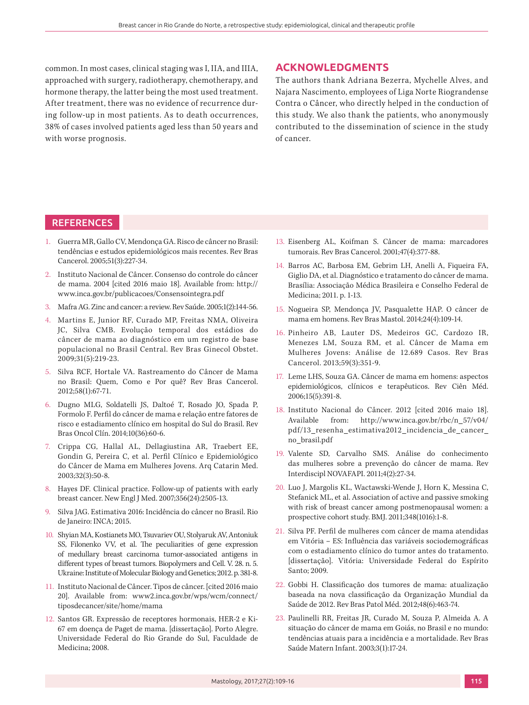common. In most cases, clinical staging was I, IIA, and IIIA, approached with surgery, radiotherapy, chemotherapy, and hormone therapy, the latter being the most used treatment. After treatment, there was no evidence of recurrence during follow-up in most patients. As to death occurrences, 38% of cases involved patients aged less than 50 years and with worse prognosis.

#### **ACKNOWLEDGMENTS**

The authors thank Adriana Bezerra, Mychelle Alves, and Najara Nascimento, employees of Liga Norte Riograndense Contra o Câncer, who directly helped in the conduction of this study. We also thank the patients, who anonymously contributed to the dissemination of science in the study of cancer.

# **REFERENCES**

- 1. Guerra MR, Gallo CV, Mendonça GA. Risco de câncer no Brasil: tendências e estudos epidemiológicos mais recentes. Rev Bras Cancerol. 2005;51(3):227-34.
- 2. Instituto Nacional de Câncer. Consenso do controle do câncer de mama. 2004 [cited 2016 maio 18]. Available from: http:// www.inca.gov.br/publicacoes/Consensointegra.pdf
- 3. Mafra AG. Zinc and cancer: a review. Rev Saúde. 2005;1(2):144-56.
- 4. Martins E, Junior RF, Curado MP, Freitas NMA, Oliveira JC, Silva CMB. Evolução temporal dos estádios do câncer de mama ao diagnóstico em um registro de base populacional no Brasil Central. Rev Bras Ginecol Obstet. 2009;31(5):219-23.
- 5. Silva RCF, Hortale VA. Rastreamento do Câncer de Mama no Brasil: Quem, Como e Por quê? Rev Bras Cancerol. 2012;58(1):67-71.
- 6. Dugno MLG, Soldatelli JS, Daltoé T, Rosado JO, Spada P, Formolo F. Perfil do câncer de mama e relação entre fatores de risco e estadiamento clínico em hospital do Sul do Brasil. Rev Bras Oncol Clín. 2014;10(36):60-6.
- 7. Crippa CG, Hallal AL, Dellagiustina AR, Traebert EE, Gondin G, Pereira C, et al. Perfil Clínico e Epidemiológico do Câncer de Mama em Mulheres Jovens. Arq Catarin Med. 2003;32(3):50-8.
- 8. Hayes DF. Clinical practice. Follow-up of patients with early breast cancer. New Engl J Med. 2007;356(24):2505-13.
- 9. Silva JAG. Estimativa 2016: Incidência do câncer no Brasil. Rio de Janeiro: INCA; 2015.
- 10. Shyian MA, Kostianets MO, Tsuvariev OU, Stolyaruk AV, Antoniuk SS, Filonenko VV, et al. The peculiarities of gene expression of medullary breast carcinoma tumor-associated antigens in different types of breast tumors. Biopolymers and Cell. V. 28. n. 5. Ukraine: Institute of Molecular Biology and Genetics; 2012. p. 381-8.
- 11. Instituto Nacional de Câncer. Tipos de câncer. [cited 2016 maio 20]. Available from: www2.inca.gov.br/wps/wcm/connect/ tiposdecancer/site/home/mama
- 12. Santos GR. Expressão de receptores hormonais, HER-2 e Ki-67 em doença de Paget de mama. [dissertação]. Porto Alegre. Universidade Federal do Rio Grande do Sul, Faculdade de Medicina; 2008.
- 13. Eisenberg AL, Koifman S. Câncer de mama: marcadores tumorais. Rev Bras Cancerol. 2001;47(4):377-88.
- 14. Barros AC, Barbosa EM, Gebrim LH, Anelli A, Fiqueira FA, Giglio DA, et al. Diagnóstico e tratamento do câncer de mama. Brasília: Associação Médica Brasileira e Conselho Federal de Medicina; 2011. p. 1-13.
- 15. Nogueira SP, Mendonça JV, Pasqualette HAP. O câncer de mama em homens. Rev Bras Mastol. 2014;24(4):109-14.
- 16. Pinheiro AB, Lauter DS, Medeiros GC, Cardozo IR, Menezes LM, Souza RM, et al. Câncer de Mama em Mulheres Jovens: Análise de 12.689 Casos. Rev Bras Cancerol. 2013;59(3):351-9.
- 17. Leme LHS, Souza GA. Câncer de mama em homens: aspectos epidemiológicos, clínicos e terapêuticos. Rev Ciên Méd. 2006;15(5):391-8.
- 18. Instituto Nacional do Câncer. 2012 [cited 2016 maio 18]. Available from: http://www.inca.gov.br/rbc/n\_57/v04/ pdf/13\_resenha\_estimativa2012\_incidencia\_de\_cancer\_ no\_brasil.pdf
- 19. Valente SD, Carvalho SMS. Análise do conhecimento das mulheres sobre a prevenção do câncer de mama. Rev Interdiscipl NOVAFAPI. 2011;4(2):27-34.
- 20. Luo J, Margolis KL, Wactawski-Wende J, Horn K, Messina C, Stefanick ML, et al. Association of active and passive smoking with risk of breast cancer among postmenopausal women: a prospective cohort study. BMJ. 2011;348(1016):1-8.
- 21. Silva PF. Perfil de mulheres com câncer de mama atendidas em Vitória – ES: Influência das variáveis sociodemográficas com o estadiamento clínico do tumor antes do tratamento. [dissertação]. Vitória: Universidade Federal do Espírito Santo; 2009.
- 22. Gobbi H. Classificação dos tumores de mama: atualização baseada na nova classificação da Organização Mundial da Saúde de 2012. Rev Bras Patol Méd. 2012;48(6):463-74.
- 23. Paulinelli RR, Freitas JR, Curado M, Souza P, Almeida A. A situação do câncer de mama em Goiás, no Brasil e no mundo: tendências atuais para a incidência e a mortalidade. Rev Bras Saúde Matern Infant. 2003;3(1):17-24.